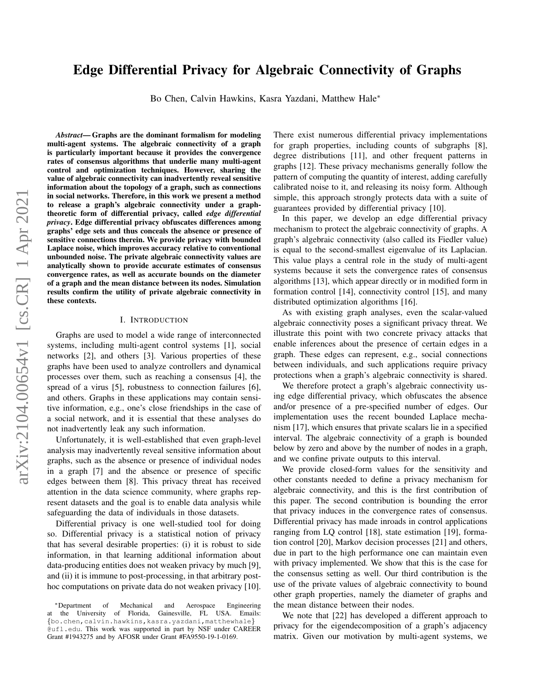# Edge Differential Privacy for Algebraic Connectivity of Graphs

Bo Chen, Calvin Hawkins, Kasra Yazdani, Matthew Hale<sup>∗</sup>

*Abstract*— Graphs are the dominant formalism for modeling multi-agent systems. The algebraic connectivity of a graph is particularly important because it provides the convergence rates of consensus algorithms that underlie many multi-agent control and optimization techniques. However, sharing the value of algebraic connectivity can inadvertently reveal sensitive information about the topology of a graph, such as connections in social networks. Therefore, in this work we present a method to release a graph's algebraic connectivity under a graphtheoretic form of differential privacy, called *edge differential privacy*. Edge differential privacy obfuscates differences among graphs' edge sets and thus conceals the absence or presence of sensitive connections therein. We provide privacy with bounded Laplace noise, which improves accuracy relative to conventional unbounded noise. The private algebraic connectivity values are analytically shown to provide accurate estimates of consensus convergence rates, as well as accurate bounds on the diameter of a graph and the mean distance between its nodes. Simulation results confirm the utility of private algebraic connectivity in these contexts.

#### I. INTRODUCTION

Graphs are used to model a wide range of interconnected systems, including multi-agent control systems [1], social networks [2], and others [3]. Various properties of these graphs have been used to analyze controllers and dynamical processes over them, such as reaching a consensus [4], the spread of a virus [5], robustness to connection failures [6], and others. Graphs in these applications may contain sensitive information, e.g., one's close friendships in the case of a social network, and it is essential that these analyses do not inadvertently leak any such information.

Unfortunately, it is well-established that even graph-level analysis may inadvertently reveal sensitive information about graphs, such as the absence or presence of individual nodes in a graph [7] and the absence or presence of specific edges between them [8]. This privacy threat has received attention in the data science community, where graphs represent datasets and the goal is to enable data analysis while safeguarding the data of individuals in those datasets.

Differential privacy is one well-studied tool for doing so. Differential privacy is a statistical notion of privacy that has several desirable properties: (i) it is robust to side information, in that learning additional information about data-producing entities does not weaken privacy by much [9], and (ii) it is immune to post-processing, in that arbitrary posthoc computations on private data do not weaken privacy [10].

There exist numerous differential privacy implementations for graph properties, including counts of subgraphs [8], degree distributions [11], and other frequent patterns in graphs [12]. These privacy mechanisms generally follow the pattern of computing the quantity of interest, adding carefully calibrated noise to it, and releasing its noisy form. Although simple, this approach strongly protects data with a suite of guarantees provided by differential privacy [10].

In this paper, we develop an edge differential privacy mechanism to protect the algebraic connectivity of graphs. A graph's algebraic connectivity (also called its Fiedler value) is equal to the second-smallest eigenvalue of its Laplacian. This value plays a central role in the study of multi-agent systems because it sets the convergence rates of consensus algorithms [13], which appear directly or in modified form in formation control [14], connectivity control [15], and many distributed optimization algorithms [16].

As with existing graph analyses, even the scalar-valued algebraic connectivity poses a significant privacy threat. We illustrate this point with two concrete privacy attacks that enable inferences about the presence of certain edges in a graph. These edges can represent, e.g., social connections between individuals, and such applications require privacy protections when a graph's algebraic connectivity is shared.

We therefore protect a graph's algebraic connectivity using edge differential privacy, which obfuscates the absence and/or presence of a pre-specified number of edges. Our implementation uses the recent bounded Laplace mechanism [17], which ensures that private scalars lie in a specified interval. The algebraic connectivity of a graph is bounded below by zero and above by the number of nodes in a graph, and we confine private outputs to this interval.

We provide closed-form values for the sensitivity and other constants needed to define a privacy mechanism for algebraic connectivity, and this is the first contribution of this paper. The second contribution is bounding the error that privacy induces in the convergence rates of consensus. Differential privacy has made inroads in control applications ranging from LQ control [18], state estimation [19], formation control [20], Markov decision processes [21] and others, due in part to the high performance one can maintain even with privacy implemented. We show that this is the case for the consensus setting as well. Our third contribution is the use of the private values of algebraic connectivity to bound other graph properties, namely the diameter of graphs and the mean distance between their nodes.

We note that [22] has developed a different approach to privacy for the eigendecomposition of a graph's adjacency matrix. Given our motivation by multi-agent systems, we

<sup>∗</sup>Department of Mechanical and Aerospace Engineering at the University of Florida, Gainesville, FL USA. Emails: {bo.chen,calvin.hawkins,kasra.yazdani,matthewhale} @ufl.edu. This work was supported in part by NSF under CAREER Grant #1943275 and by AFOSR under Grant #FA9550-19-1-0169.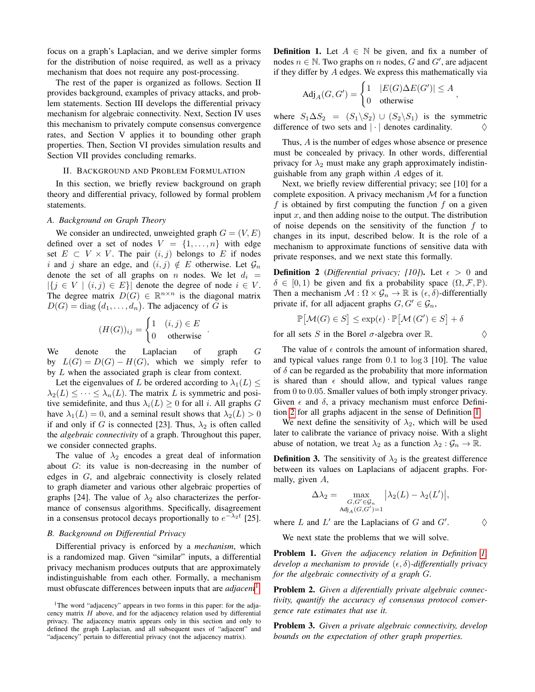focus on a graph's Laplacian, and we derive simpler forms for the distribution of noise required, as well as a privacy mechanism that does not require any post-processing.

The rest of the paper is organized as follows. Section II provides background, examples of privacy attacks, and problem statements. Section III develops the differential privacy mechanism for algebraic connectivity. Next, Section IV uses this mechanism to privately compute consensus convergence rates, and Section V applies it to bounding other graph properties. Then, Section VI provides simulation results and Section VII provides concluding remarks.

#### II. BACKGROUND AND PROBLEM FORMULATION

In this section, we briefly review background on graph theory and differential privacy, followed by formal problem statements.

## *A. Background on Graph Theory*

We consider an undirected, unweighted graph  $G = (V, E)$ defined over a set of nodes  $V = \{1, \ldots, n\}$  with edge set  $E \subset V \times V$ . The pair  $(i, j)$  belongs to E if nodes i and j share an edge, and  $(i, j) \notin E$  otherwise. Let  $\mathcal{G}_n$ denote the set of all graphs on n nodes. We let  $d_i =$  $|\{j \in V \mid (i,j) \in E\}|$  denote the degree of node  $i \in V$ . The degree matrix  $D(G) \in \mathbb{R}^{n \times n}$  is the diagonal matrix  $D(G) = \text{diag}(d_1, \ldots, d_n)$ . The adjacency of G is

$$
(H(G))_{ij} = \begin{cases} 1 & (i,j) \in E \\ 0 & \text{otherwise} \end{cases}.
$$

We denote the Laplacian of graph G by  $L(G) = D(G) - H(G)$ , which we simply refer to by L when the associated graph is clear from context.

Let the eigenvalues of L be ordered according to  $\lambda_1(L) \leq$  $\lambda_2(L) \leq \cdots \leq \lambda_n(L)$ . The matrix L is symmetric and positive semidefinite, and thus  $\lambda_i(L) \geq 0$  for all i. All graphs G have  $\lambda_1(L) = 0$ , and a seminal result shows that  $\lambda_2(L) > 0$ if and only if G is connected [23]. Thus,  $\lambda_2$  is often called the *algebraic connectivity* of a graph. Throughout this paper, we consider connected graphs.

The value of  $\lambda_2$  encodes a great deal of information about G: its value is non-decreasing in the number of edges in G, and algebraic connectivity is closely related to graph diameter and various other algebraic properties of graphs [24]. The value of  $\lambda_2$  also characterizes the performance of consensus algorithms. Specifically, disagreement in a consensus protocol decays proportionally to  $e^{-\lambda_2 t}$  [25].

# *B. Background on Differential Privacy*

Differential privacy is enforced by a *mechanism*, which is a randomized map. Given "similar" inputs, a differential privacy mechanism produces outputs that are approximately indistinguishable from each other. Formally, a mechanism must obfuscate differences between inputs that are *adjacent*[1](#page-1-0) .

<span id="page-1-2"></span>**Definition 1.** Let  $A \in \mathbb{N}$  be given, and fix a number of nodes  $n \in \mathbb{N}$ . Two graphs on n nodes, G and G', are adjacent if they differ by A edges. We express this mathematically via

$$
\mathrm{Adj}_A(G,G') = \begin{cases} 1 & |E(G)\Delta E(G')| \leq A \\ 0 & \mathrm{otherwise} \end{cases},
$$

where  $S_1 \Delta S_2 = (S_1 \backslash S_2) \cup (S_2 \backslash S_1)$  is the symmetric difference of two sets and  $|\cdot|$  denotes cardinality. difference of two sets and  $|\cdot|$  denotes cardinality.

Thus, A is the number of edges whose absence or presence must be concealed by privacy. In other words, differential privacy for  $\lambda_2$  must make any graph approximately indistinguishable from any graph within A edges of it.

Next, we briefly review differential privacy; see [10] for a complete exposition. A privacy mechanism  $M$  for a function f is obtained by first computing the function  $f$  on a given input  $x$ , and then adding noise to the output. The distribution of noise depends on the sensitivity of the function  $f$  to changes in its input, described below. It is the role of a mechanism to approximate functions of sensitive data with private responses, and we next state this formally.

<span id="page-1-1"></span>**Definition 2** (*Differential privacy; [10]*). Let  $\epsilon > 0$  and  $\delta \in [0, 1)$  be given and fix a probability space  $(\Omega, \mathcal{F}, \mathbb{P})$ . Then a mechanism  $\mathcal{M} : \Omega \times \mathcal{G}_n \to \mathbb{R}$  is  $(\epsilon, \delta)$ -differentially private if, for all adjacent graphs  $G, G' \in \mathcal{G}_n$ ,

$$
\mathbb{P} \big[ \mathcal{M}(G) \in S \big] \leq \exp(\epsilon) \cdot \mathbb{P} \big[ \mathcal{M} \left( G' \right) \in S \big] + \delta
$$

for all sets S in the Borel  $\sigma$ -algebra over R.  $\Diamond$ 

The value of  $\epsilon$  controls the amount of information shared, and typical values range from 0.1 to log 3 [10]. The value of  $\delta$  can be regarded as the probability that more information is shared than  $\epsilon$  should allow, and typical values range from 0 to 0.05. Smaller values of both imply stronger privacy. Given  $\epsilon$  and  $\delta$ , a privacy mechanism must enforce Definition [2](#page-1-1) for all graphs adjacent in the sense of Definition [1.](#page-1-2)

We next define the sensitivity of  $\lambda_2$ , which will be used later to calibrate the variance of privacy noise. With a slight abuse of notation, we treat  $\lambda_2$  as a function  $\lambda_2 : \mathcal{G}_n \to \mathbb{R}$ .

<span id="page-1-3"></span>**Definition 3.** The sensitivity of  $\lambda_2$  is the greatest difference between its values on Laplacians of adjacent graphs. Formally, given A,

$$
\Delta \lambda_2 = \max_{\substack{G,G' \in \mathcal{G}_n \\ \text{Adj}_A(G,G')=1}} \left| \lambda_2(L) - \lambda_2(L') \right|,
$$

 $\Diamond$ 

where  $L$  and  $L'$  are the Laplacians of  $G$  and  $G'$ 

We next state the problems that we will solve.

<span id="page-1-4"></span>Problem 1. *Given the adjacency relation in Definition [1,](#page-1-2) develop a mechanism to provide*  $(\epsilon, \delta)$ -differentially privacy *for the algebraic connectivity of a graph* G*.*

<span id="page-1-5"></span>Problem 2. *Given a diferentially private algebraic connectivity, quantify the accuracy of consensus protocol convergence rate estimates that use it.*

Problem 3. *Given a private algebraic connectivity, develop bounds on the expectation of other graph properties.*

<span id="page-1-0"></span><sup>&</sup>lt;sup>1</sup>The word "adjacency" appears in two forms in this paper: for the adjacency matrix  $H$  above, and for the adjacency relation used by differential privacy. The adjacency matrix appears only in this section and only to defined the graph Laplacian, and all subsequent uses of "adjacent" and "adjacency" pertain to differential privacy (not the adjacency matrix).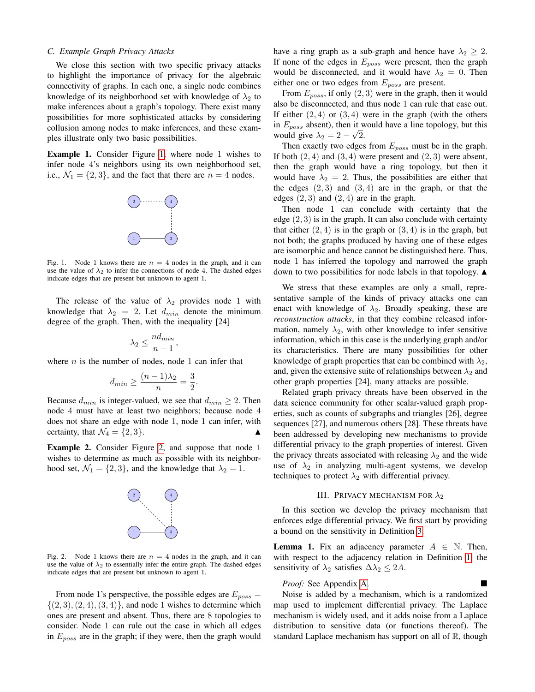## *C. Example Graph Privacy Attacks*

We close this section with two specific privacy attacks to highlight the importance of privacy for the algebraic connectivity of graphs. In each one, a single node combines knowledge of its neighborhood set with knowledge of  $\lambda_2$  to make inferences about a graph's topology. There exist many possibilities for more sophisticated attacks by considering collusion among nodes to make inferences, and these examples illustrate only two basic possibilities.

Example 1. Consider Figure [1,](#page-2-0) where node 1 wishes to infer node 4's neighbors using its own neighborhood set, i.e.,  $\mathcal{N}_1 = \{2, 3\}$ , and the fact that there are  $n = 4$  nodes.

<span id="page-2-0"></span>

Fig. 1. Node 1 knows there are  $n = 4$  nodes in the graph, and it can use the value of  $\lambda_2$  to infer the connections of node 4. The dashed edges indicate edges that are present but unknown to agent 1.

The release of the value of  $\lambda_2$  provides node 1 with knowledge that  $\lambda_2 = 2$ . Let  $d_{min}$  denote the minimum degree of the graph. Then, with the inequality [24]

$$
\lambda_2 \le \frac{nd_{min}}{n-1},
$$

where  $n$  is the number of nodes, node 1 can infer that

$$
d_{min} \ge \frac{(n-1)\lambda_2}{n} = \frac{3}{2}.
$$

Because  $d_{min}$  is integer-valued, we see that  $d_{min} \geq 2$ . Then node 4 must have at least two neighbors; because node 4 does not share an edge with node 1, node 1 can infer, with certainty, that  $\mathcal{N}_4 = \{2, 3\}.$ 

Example 2. Consider Figure [2,](#page-2-1) and suppose that node 1 wishes to determine as much as possible with its neighborhood set,  $\mathcal{N}_1 = \{2, 3\}$ , and the knowledge that  $\lambda_2 = 1$ .

<span id="page-2-1"></span>

Fig. 2. Node 1 knows there are  $n = 4$  nodes in the graph, and it can use the value of  $\lambda_2$  to essentially infer the entire graph. The dashed edges indicate edges that are present but unknown to agent 1.

From node 1's perspective, the possible edges are  $E_{poss} =$  $\{(2, 3), (2, 4), (3, 4)\}\$ , and node 1 wishes to determine which ones are present and absent. Thus, there are 8 topologies to consider. Node 1 can rule out the case in which all edges in  $E_{poss}$  are in the graph; if they were, then the graph would have a ring graph as a sub-graph and hence have  $\lambda_2 \geq 2$ . If none of the edges in  $E_{poss}$  were present, then the graph would be disconnected, and it would have  $\lambda_2 = 0$ . Then either one or two edges from  $E_{poss}$  are present.

From  $E_{poss}$ , if only  $(2, 3)$  were in the graph, then it would also be disconnected, and thus node 1 can rule that case out. If either  $(2, 4)$  or  $(3, 4)$  were in the graph (with the others in  $E_{poss}$  absent), then it would have a line topology, but this would give  $\lambda_2 = 2 - \sqrt{2}$ .

Then exactly two edges from  $E_{poss}$  must be in the graph. If both  $(2, 4)$  and  $(3, 4)$  were present and  $(2, 3)$  were absent, then the graph would have a ring topology, but then it would have  $\lambda_2 = 2$ . Thus, the possibilities are either that the edges  $(2, 3)$  and  $(3, 4)$  are in the graph, or that the edges  $(2, 3)$  and  $(2, 4)$  are in the graph.

Then node 1 can conclude with certainty that the edge  $(2, 3)$  is in the graph. It can also conclude with certainty that either  $(2, 4)$  is in the graph or  $(3, 4)$  is in the graph, but not both; the graphs produced by having one of these edges are isomorphic and hence cannot be distinguished here. Thus, node 1 has inferred the topology and narrowed the graph down to two possibilities for node labels in that topology.  $\triangle$ 

We stress that these examples are only a small, representative sample of the kinds of privacy attacks one can enact with knowledge of  $\lambda_2$ . Broadly speaking, these are *reconstruction attacks*, in that they combine released information, namely  $\lambda_2$ , with other knowledge to infer sensitive information, which in this case is the underlying graph and/or its characteristics. There are many possibilities for other knowledge of graph properties that can be combined with  $\lambda_2$ , and, given the extensive suite of relationships between  $\lambda_2$  and other graph properties [24], many attacks are possible.

Related graph privacy threats have been observed in the data science community for other scalar-valued graph properties, such as counts of subgraphs and triangles [26], degree sequences [27], and numerous others [28]. These threats have been addressed by developing new mechanisms to provide differential privacy to the graph properties of interest. Given the privacy threats associated with releasing  $\lambda_2$  and the wide use of  $\lambda_2$  in analyzing multi-agent systems, we develop techniques to protect  $\lambda_2$  with differential privacy.

## III. PRIVACY MECHANISM FOR  $\lambda_2$

In this section we develop the privacy mechanism that enforces edge differential privacy. We first start by providing a bound on the sensitivity in Definition [3.](#page-1-3)

<span id="page-2-2"></span>**Lemma 1.** Fix an adjacency parameter  $A \in \mathbb{N}$ . Then, with respect to the adjacency relation in Definition [1,](#page-1-2) the sensitivity of  $\lambda_2$  satisfies  $\Delta \lambda_2 \leq 2A$ .

## *Proof:* See Appendix [A.](#page-6-0)

Noise is added by a mechanism, which is a randomized map used to implement differential privacy. The Laplace mechanism is widely used, and it adds noise from a Laplace distribution to sensitive data (or functions thereof). The standard Laplace mechanism has support on all of  $\mathbb{R}$ , though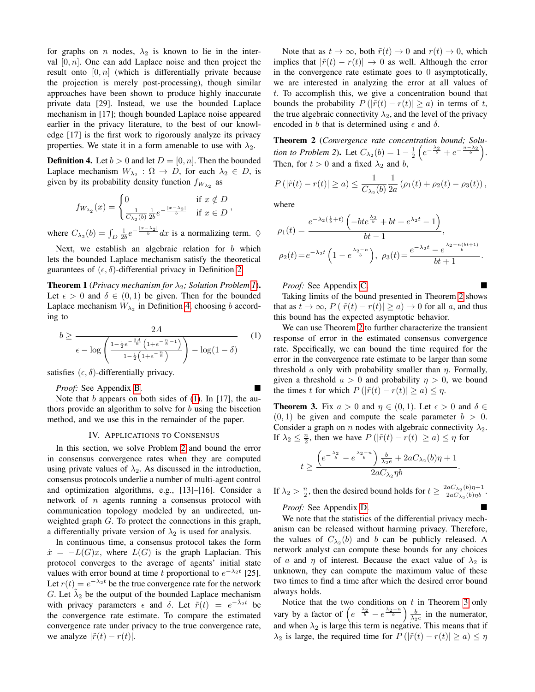for graphs on n nodes,  $\lambda_2$  is known to lie in the interval  $[0, n]$ . One can add Laplace noise and then project the result onto  $[0, n]$  (which is differentially private because the projection is merely post-processing), though similar approaches have been shown to produce highly inaccurate private data [29]. Instead, we use the bounded Laplace mechanism in [17]; though bounded Laplace noise appeared earlier in the privacy literature, to the best of our knowledge [17] is the first work to rigorously analyze its privacy properties. We state it in a form amenable to use with  $\lambda_2$ .

<span id="page-3-0"></span>**Definition 4.** Let  $b > 0$  and let  $D = [0, n]$ . Then the bounded Laplace mechanism  $W_{\lambda_2} : \Omega \to D$ , for each  $\lambda_2 \in D$ , is given by its probability density function  $f_{W_{\lambda_2}}$  as

$$
f_{W_{\lambda_2}}(x) = \begin{cases} 0 & \text{if } x \notin D \\ \frac{1}{C_{\lambda_2}(b)} \frac{1}{2b} e^{-\frac{|x - \lambda_2|}{b}} & \text{if } x \in D \end{cases}
$$

where  $C_{\lambda_2}(b) = \int_D \frac{1}{2b} e^{-\frac{|x-\lambda_2|}{b}} dx$  is a normalizing term.  $\Diamond$ 

Next, we establish an algebraic relation for b which lets the bounded Laplace mechanism satisfy the theoretical guarantees of  $(\epsilon, \delta)$ -differential privacy in Definition [2.](#page-1-1)

<span id="page-3-4"></span>**Theorem [1](#page-1-4)** (*Privacy mechanism for*  $\lambda_2$ *; Solution Problem 1*). Let  $\epsilon > 0$  and  $\delta \in (0,1)$  be given. Then for the bounded Laplace mechanism  $W_{\lambda_2}$  in Definition [4,](#page-3-0) choosing b according to

$$
b \ge \frac{2A}{\epsilon - \log \left( \frac{1 - \frac{1}{2}e^{-\frac{2A}{b}} \left( 1 + e^{-\frac{n}{b} - 1} \right)}{1 - \frac{1}{2} \left( 1 + e^{-\frac{n}{b}} \right)} \right) - \log(1 - \delta)}
$$
(1)

satisfies  $(\epsilon, \delta)$ -differentially privacy.

*Proof:* See Appendix [B.](#page-6-1)

Note that  $b$  appears on both sides of [\(1\)](#page-3-1). In [17], the authors provide an algorithm to solve for  $b$  using the bisection method, and we use this in the remainder of the paper.

#### IV. APPLICATIONS TO CONSENSUS

In this section, we solve Problem [2](#page-1-5) and bound the error in consensus convergence rates when they are computed using private values of  $\lambda_2$ . As discussed in the introduction, consensus protocols underlie a number of multi-agent control and optimization algorithms, e.g., [13]–[16]. Consider a network of n agents running a consensus protocol with communication topology modeled by an undirected, unweighted graph G. To protect the connections in this graph, a differentially private version of  $\lambda_2$  is used for analysis.

In continuous time, a consensus protocol takes the form  $\dot{x} = -L(G)x$ , where  $L(G)$  is the graph Laplacian. This protocol converges to the average of agents' initial state values with error bound at time t proportional to  $e^{-\lambda_2 t}$  [25]. Let  $r(t) = e^{-\lambda_2 t}$  be the true convergence rate for the network G. Let  $\tilde{\lambda}_2$  be the output of the bounded Laplace mechanism with privacy parameters  $\epsilon$  and  $\delta$ . Let  $\tilde{r}(t) = e^{-\tilde{\lambda}_2 t}$  be the convergence rate estimate. To compare the estimated convergence rate under privacy to the true convergence rate, we analyze  $|\tilde{r}(t) - r(t)|$ .

Note that as  $t \to \infty$ , both  $\tilde{r}(t) \to 0$  and  $r(t) \to 0$ , which implies that  $|\tilde{r}(t) - r(t)| \rightarrow 0$  as well. Although the error in the convergence rate estimate goes to 0 asymptotically, we are interested in analyzing the error at all values of t. To accomplish this, we give a concentration bound that bounds the probability  $P(|\tilde{r}(t) - r(t)| \ge a)$  in terms of t, the true algebraic connectivity  $\lambda_2$ , and the level of the privacy encoded in b that is determined using  $\epsilon$  and  $\delta$ .

<span id="page-3-2"></span>Theorem 2 (*Convergence rate concentration bound; Solution to Problem 2*). Let  $C_{\lambda_2}(b) = 1 - \frac{1}{2} \left( e^{-\frac{\lambda_2}{b}} + e^{-\frac{n-\lambda_2}{b}} \right)$ . Then, for  $t > 0$  and a fixed  $\lambda_2$  and b,

$$
P(|\tilde{r}(t) - r(t)| \ge a) \le \frac{1}{C_{\lambda_2}(b)} \frac{1}{2a} (\rho_1(t) + \rho_2(t) - \rho_3(t)),
$$

where

$$
\rho_1(t) = \frac{e^{-\lambda_2(\frac{1}{b}+t)} \left(-bte^{\frac{\lambda_2}{b}} + bt + e^{\lambda_2 t} - 1\right)}{bt - 1},
$$
  

$$
\rho_2(t) = e^{-\lambda_2 t} \left(1 - e^{\frac{\lambda_2 - n}{b}}\right), \ \rho_3(t) = \frac{e^{-\lambda_2 t} - e^{\frac{\lambda_2 - n(bt + 1)}{b}}}{bt + 1}.
$$

*Proof:* See Appendix [C.](#page-6-2)

Taking limits of the bound presented in Theorem [2](#page-3-2) shows that as  $t \to \infty$ ,  $P(|\tilde{r}(t) - r(t)| > a) \to 0$  for all a, and thus this bound has the expected asymptotic behavior.

<span id="page-3-1"></span>We can use Theorem [2](#page-3-2) to further characterize the transient response of error in the estimated consensus convergence rate. Specifically, we can bound the time required for the error in the convergence rate estimate to be larger than some threshold  $\alpha$  only with probability smaller than  $\eta$ . Formally, given a threshold  $a > 0$  and probability  $\eta > 0$ , we bound the times t for which  $P(|\tilde{r}(t) - r(t)| \ge a) \le \eta$ .

<span id="page-3-3"></span>**Theorem 3.** Fix  $a > 0$  and  $\eta \in (0, 1)$ . Let  $\epsilon > 0$  and  $\delta \in$  $(0, 1)$  be given and compute the scale parameter  $b > 0$ . Consider a graph on *n* nodes with algebraic connectivity  $\lambda_2$ . If  $\lambda_2 \leq \frac{n}{2}$ , then we have  $P(|\tilde{r}(t) - r(t)| \geq a) \leq \eta$  for

$$
t\geq \frac{\left(e^{-\frac{\lambda_2}{b}}-e^{\frac{\lambda_2-n}{b}}\right)\frac{b}{\lambda_2e}+2aC_{\lambda_2}(b)\eta+1}{2aC_{\lambda_2}\eta b}.
$$

If  $\lambda_2 > \frac{n}{2}$ , then the desired bound holds for  $t \geq \frac{2aC_{\lambda_2}(b)\eta + 1}{2aC_{\lambda_2}(b)\eta b}$  $\frac{aC_{\lambda_2}(b)\eta+1}{2aC_{\lambda_2}(b)\eta b}$ .

*Proof:* See Appendix [D.](#page-7-0)

We note that the statistics of the differential privacy mechanism can be released without harming privacy. Therefore, the values of  $C_{\lambda_2}(b)$  and b can be publicly released. A network analyst can compute these bounds for any choices of a and  $\eta$  of interest. Because the exact value of  $\lambda_2$  is unknown, they can compute the maximum value of these two times to find a time after which the desired error bound always holds.

Notice that the two conditions on  $t$  in Theorem [3](#page-3-3) only vary by a factor of  $\left(e^{-\frac{\lambda_2}{b}} - e^{\frac{\lambda_2 - n}{b}}\right) \frac{b}{\lambda_2 e}$  in the numerator, and when  $\lambda_2$  is large this term is negative. This means that if  $\lambda_2$  is large, the required time for  $P(|\tilde{r}(t) - r(t)| \ge a) \le \eta$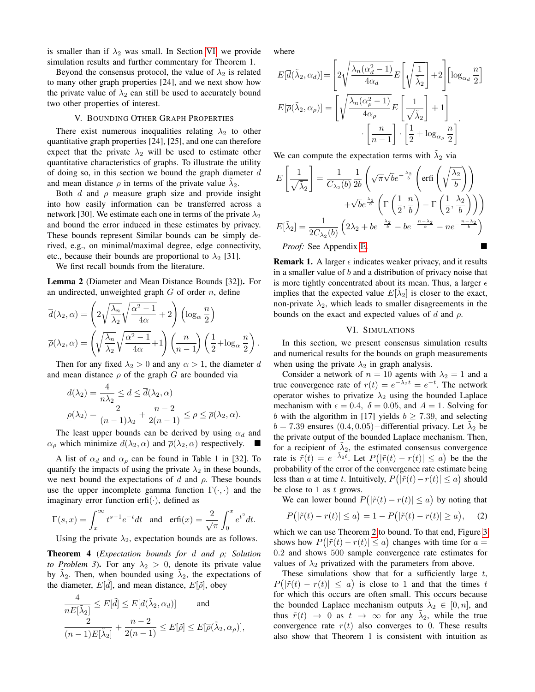is smaller than if  $\lambda_2$  was small. In Section [VI,](#page-4-0) we provide simulation results and further commentary for Theorem 1.

Beyond the consensus protocol, the value of  $\lambda_2$  is related to many other graph properties [24], and we next show how the private value of  $\lambda_2$  can still be used to accurately bound two other properties of interest.

### V. BOUNDING OTHER GRAPH PROPERTIES

There exist numerous inequalities relating  $\lambda_2$  to other quantitative graph properties [24], [25], and one can therefore expect that the private  $\lambda_2$  will be used to estimate other quantitative characteristics of graphs. To illustrate the utility of doing so, in this section we bound the graph diameter  $d$ and mean distance  $\rho$  in terms of the private value  $\tilde{\lambda}_2$ .

Both  $d$  and  $\rho$  measure graph size and provide insight into how easily information can be transferred across a network [30]. We estimate each one in terms of the private  $\lambda_2$ and bound the error induced in these estimates by privacy. These bounds represent Similar bounds can be simply derived, e.g., on minimal/maximal degree, edge connectivity, etc., because their bounds are proportional to  $\lambda_2$  [31].

We first recall bounds from the literature.

<span id="page-4-3"></span>Lemma 2 (Diameter and Mean Distance Bounds [32]). For an undirected, unweighted graph  $G$  of order  $n$ , define

$$
\overline{d}(\lambda_2, \alpha) = \left(2\sqrt{\frac{\lambda_n}{\lambda_2}}\sqrt{\frac{\alpha^2 - 1}{4\alpha}} + 2\right) \left(\log_{\alpha} \frac{n}{2}\right)
$$

$$
\overline{\rho}(\lambda_2, \alpha) = \left(\sqrt{\frac{\lambda_n}{\lambda_2}}\sqrt{\frac{\alpha^2 - 1}{4\alpha}} + 1\right) \left(\frac{n}{n - 1}\right) \left(\frac{1}{2} + \log_{\alpha} \frac{n}{2}\right).
$$

Then for any fixed  $\lambda_2 > 0$  and any  $\alpha > 1$ , the diameter d and mean distance  $\rho$  of the graph G are bounded via

$$
\underline{d}(\lambda_2) = \frac{4}{n\lambda_2} \le d \le \overline{d}(\lambda_2, \alpha)
$$

$$
\underline{\rho}(\lambda_2) = \frac{2}{(n-1)\lambda_2} + \frac{n-2}{2(n-1)} \le \rho \le \overline{\rho}(\lambda_2, \alpha).
$$

The least upper bounds can be derived by using  $\alpha_d$  and  $\alpha_{\rho}$  which minimize  $d(\lambda_2, \alpha)$  and  $\overline{\rho}(\lambda_2, \alpha)$  respectively.

A list of  $\alpha_d$  and  $\alpha_\rho$  can be found in Table 1 in [32]. To quantify the impacts of using the private  $\lambda_2$  in these bounds, we next bound the expectations of d and  $\rho$ . These bounds use the upper incomplete gamma function  $\Gamma(\cdot, \cdot)$  and the imaginary error function erfi( $\cdot$ ), defined as

$$
\Gamma(s,x) = \int_x^{\infty} t^{s-1} e^{-t} dt \quad \text{and} \quad \text{erfi}(x) = \frac{2}{\sqrt{\pi}} \int_0^x e^{t^2} dt.
$$

Using the private  $\lambda_2$ , expectation bounds are as follows.

<span id="page-4-2"></span>Theorem 4 (*Expectation bounds for* d *and* ρ*; Solution to Problem 3*). For any  $\lambda_2 > 0$ , denote its private value by  $\tilde{\lambda}_2$ . Then, when bounded using  $\tilde{\lambda}_2$ , the expectations of the diameter,  $E[\tilde{d}]$ , and mean distance,  $E[\tilde{\rho}]$ , obey

$$
\frac{4}{nE[\tilde{\lambda}_2]} \leq E[\tilde{d}] \leq E[\overline{d}(\tilde{\lambda}_2, \alpha_d)] \quad \text{and} \quad
$$

$$
\frac{2}{(n-1)E[\tilde{\lambda}_2]} + \frac{n-2}{2(n-1)} \leq E[\tilde{\rho}] \leq E[\overline{\rho}(\tilde{\lambda}_2, \alpha_{\rho})],
$$

where

$$
E[\overline{d}(\tilde{\lambda}_2, \alpha_d)] = \left[2\sqrt{\frac{\lambda_n(\alpha_d^2 - 1)}{4\alpha_d}} E\left[\sqrt{\frac{1}{\tilde{\lambda}_2}}\right] + 2\right] \left[\log_{\alpha_d} \frac{n}{2}\right]
$$

$$
E[\overline{\rho}(\tilde{\lambda}_2, \alpha_\rho)] = \left[\sqrt{\frac{\lambda_n(\alpha_\rho^2 - 1)}{4\alpha_\rho}} E\left[\frac{1}{\sqrt{\tilde{\lambda}_2}}\right] + 1\right]
$$

$$
\cdot \left[\frac{n}{n-1}\right] \cdot \left[\frac{1}{2} + \log_{\alpha_\rho} \frac{n}{2}\right]
$$

We can compute the expectation terms with  $\tilde{\lambda}_2$  via

$$
E\left[\frac{1}{\sqrt{\tilde{\lambda}_2}}\right] = \frac{1}{C_{\lambda_2}(b)} \frac{1}{2b} \left(\sqrt{\pi}\sqrt{b}e^{-\frac{\lambda_2}{b}} \left(\text{erfi}\left(\sqrt{\frac{\lambda_2}{b}}\right)\right) + \sqrt{b}e^{\frac{\lambda_2}{b}} \left(\Gamma\left(\frac{1}{2}, \frac{n}{b}\right) - \Gamma\left(\frac{1}{2}, \frac{\lambda_2}{b}\right)\right)\right)
$$

$$
E[\tilde{\lambda}_2] = \frac{1}{2C_{\lambda_2}(b)} \left(2\lambda_2 + be^{-\frac{\lambda_2}{b}} - be^{-\frac{n-\lambda_2}{b}} - ne^{-\frac{n-\lambda_2}{b}}\right)
$$
*Proof:* See Appendix E.

<span id="page-4-4"></span>**Remark 1.** A larger  $\epsilon$  indicates weaker privacy, and it results in a smaller value of  $b$  and a distribution of privacy noise that is more tightly concentrated about its mean. Thus, a larger  $\epsilon$ implies that the expected value  $E[\tilde{\lambda}_2]$  is closer to the exact, non-private  $\lambda_2$ , which leads to smaller disagreements in the bounds on the exact and expected values of d and  $\rho$ .

### VI. SIMULATIONS

<span id="page-4-0"></span>In this section, we present consensus simulation results and numerical results for the bounds on graph measurements when using the private  $\lambda_2$  in graph analysis.

Consider a network of  $n = 10$  agents with  $\lambda_2 = 1$  and a true convergence rate of  $r(t) = e^{-\lambda_2 t} = e^{-t}$ . The network operator wishes to privatize  $\lambda_2$  using the bounded Laplace mechanism with  $\epsilon = 0.4$ ,  $\delta = 0.05$ , and  $A = 1$ . Solving for b with the algorithm in [17] yields  $b \ge 7.39$ , and selecting  $b = 7.39$  ensures  $(0.4, 0.05)$  – differential privacy. Let  $\tilde{\lambda}_2$  be the private output of the bounded Laplace mechanism. Then, for a recipient of  $\tilde{\lambda}_2$ , the estimated consensus convergence rate is  $\tilde{r}(t) = e^{-\tilde{\lambda}_2 t}$ . Let  $P(|\tilde{r}(t) - r(t)| \le a)$  be the the probability of the error of the convergence rate estimate being less than a at time t. Intuitively,  $P(|\tilde{r}(t) - r(t)| \le a)$  should be close to 1 as  $t$  grows.

We can lower bound  $P(|\tilde{r}(t) - r(t)| \le a)$  by noting that

<span id="page-4-1"></span>
$$
P(|\tilde{r}(t) - r(t)| \le a) = 1 - P(|\tilde{r}(t) - r(t)| \ge a), \quad (2)
$$

which we can use Theorem [2](#page-3-2) to bound. To that end, Figure [3](#page-5-0) shows how  $P(|\tilde{r}(t) - r(t)| \le a)$  changes with time for  $a =$ 0.2 and shows 500 sample convergence rate estimates for values of  $\lambda_2$  privatized with the parameters from above.

These simulations show that for a sufficiently large  $t$ ,  $P(|\tilde{r}(t) - r(t)| \le a)$  is close to 1 and that the times t for which this occurs are often small. This occurs because the bounded Laplace mechanism outputs  $\tilde{\lambda}_2 \in [0, n]$ , and thus  $\tilde{r}(t) \rightarrow 0$  as  $t \rightarrow \infty$  for any  $\tilde{\lambda}_2$ , while the true convergence rate  $r(t)$  also converges to 0. These results also show that Theorem 1 is consistent with intuition as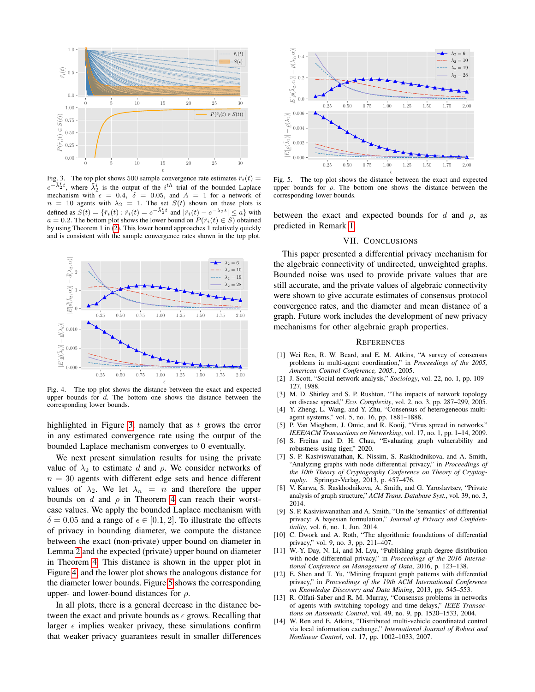

Fig. 3. The top plot shows 500 sample convergence rate estimates  $\tilde{r}_i(t)$  =  $e^{-\tilde{\lambda}_2^i t}$ , where  $\tilde{\lambda}_2^i$  is the output of the  $i^{th}$  trial of the bounded Laplace mechanism with  $\epsilon = 0.4$ ,  $\delta = 0.05$ , and  $A = 1$  for a network of  $n = 10$  agents with  $\lambda_2 = 1$ . The set  $S(t)$  shown on these plots is defined as  $S(t) = \{ \tilde{r}_i(t) : \tilde{r}_i(t) = e^{-\tilde{\lambda}_2^i t} \text{ and } |\tilde{r}_i(t) - e^{-\lambda_2 t}| \leq a \}$  with  $a = 0.2$ . The bottom plot shows the lower bound on  $P(\tilde{r}_i(t) \in S)$  obtained by using Theorem 1 in [\(2\)](#page-4-1). This lower bound approaches 1 relatively quickly and is consistent with the sample convergence rates shown in the top plot.



Fig. 4. The top plot shows the distance between the exact and expected upper bounds for  $d$ . The bottom one shows the distance between the corresponding lower bounds.

highlighted in Figure [3,](#page-5-0) namely that as  $t$  grows the error in any estimated convergence rate using the output of the bounded Laplace mechanism converges to 0 eventually.

We next present simulation results for using the private value of  $\lambda_2$  to estimate d and  $\rho$ . We consider networks of  $n = 30$  agents with different edge sets and hence different values of  $\lambda_2$ . We let  $\lambda_n = n$  and therefore the upper bounds on d and  $\rho$  in Theorem [4](#page-4-2) can reach their worstcase values. We apply the bounded Laplace mechanism with  $\delta = 0.05$  and a range of  $\epsilon \in [0.1, 2]$ . To illustrate the effects of privacy in bounding diameter, we compute the distance between the exact (non-private) upper bound on diameter in Lemma [2](#page-4-3) and the expected (private) upper bound on diameter in Theorem [4.](#page-4-2) This distance is shown in the upper plot in Figure [4,](#page-5-1) and the lower plot shows the analogous distance for the diameter lower bounds. Figure [5](#page-5-2) shows the corresponding upper- and lower-bound distances for  $\rho$ .

In all plots, there is a general decrease in the distance between the exact and private bounds as  $\epsilon$  grows. Recalling that larger  $\epsilon$  implies weaker privacy, these simulations confirm that weaker privacy guarantees result in smaller differences



<span id="page-5-0"></span>Fig. 5. The top plot shows the distance between the exact and expected upper bounds for  $\rho$ . The bottom one shows the distance between the corresponding lower bounds.

between the exact and expected bounds for d and  $\rho$ , as predicted in Remark [1.](#page-4-4)

## <span id="page-5-2"></span>VII. CONCLUSIONS

This paper presented a differential privacy mechanism for the algebraic connectivity of undirected, unweighted graphs. Bounded noise was used to provide private values that are still accurate, and the private values of algebraic connectivity were shown to give accurate estimates of consensus protocol convergence rates, and the diameter and mean distance of a graph. Future work includes the development of new privacy mechanisms for other algebraic graph properties.

## **REFERENCES**

- [1] Wei Ren, R. W. Beard, and E. M. Atkins, "A survey of consensus problems in multi-agent coordination," in *Proceedings of the 2005, American Control Conference, 2005.*, 2005.
- <span id="page-5-1"></span>[2] J. Scott, "Social network analysis," *Sociology*, vol. 22, no. 1, pp. 109– 127, 1988.
- [3] M. D. Shirley and S. P. Rushton, "The impacts of network topology on disease spread," *Eco. Complexity*, vol. 2, no. 3, pp. 287–299, 2005.
- [4] Y. Zheng, L. Wang, and Y. Zhu, "Consensus of heterogeneous multiagent systems," vol. 5, no. 16, pp. 1881–1888.
- [5] P. Van Mieghem, J. Omic, and R. Kooij, "Virus spread in networks," *IEEE/ACM Transactions on Networking*, vol. 17, no. 1, pp. 1–14, 2009.
- [6] S. Freitas and D. H. Chau, "Evaluating graph vulnerability and robustness using tiger," 2020.
- [7] S. P. Kasiviswanathan, K. Nissim, S. Raskhodnikova, and A. Smith, "Analyzing graphs with node differential privacy," in *Proceedings of the 10th Theory of Cryptography Conference on Theory of Cryptography*. Springer-Verlag, 2013, p. 457–476.
- [8] V. Karwa, S. Raskhodnikova, A. Smith, and G. Yaroslavtsev, "Private analysis of graph structure," *ACM Trans. Database Syst.*, vol. 39, no. 3, 2014.
- [9] S. P. Kasiviswanathan and A. Smith, "On the 'semantics' of differential privacy: A bayesian formulation," *Journal of Privacy and Confidentiality*, vol. 6, no. 1, Jun. 2014.
- [10] C. Dwork and A. Roth, "The algorithmic foundations of differential privacy," vol. 9, no. 3, pp. 211–407.
- [11] W.-Y. Day, N. Li, and M. Lyu, "Publishing graph degree distribution with node differential privacy," in *Proceedings of the 2016 International Conference on Management of Data*, 2016, p. 123–138.
- [12] E. Shen and T. Yu, "Mining frequent graph patterns with differential privacy," in *Proceedings of the 19th ACM International Conference on Knowledge Discovery and Data Mining*, 2013, pp. 545–553.
- [13] R. Olfati-Saber and R. M. Murray, "Consensus problems in networks of agents with switching topology and time-delays," *IEEE Transactions on Automatic Control*, vol. 49, no. 9, pp. 1520–1533, 2004.
- [14] W. Ren and E. Atkins, "Distributed multi-vehicle coordinated control via local information exchange," *International Journal of Robust and Nonlinear Control*, vol. 17, pp. 1002–1033, 2007.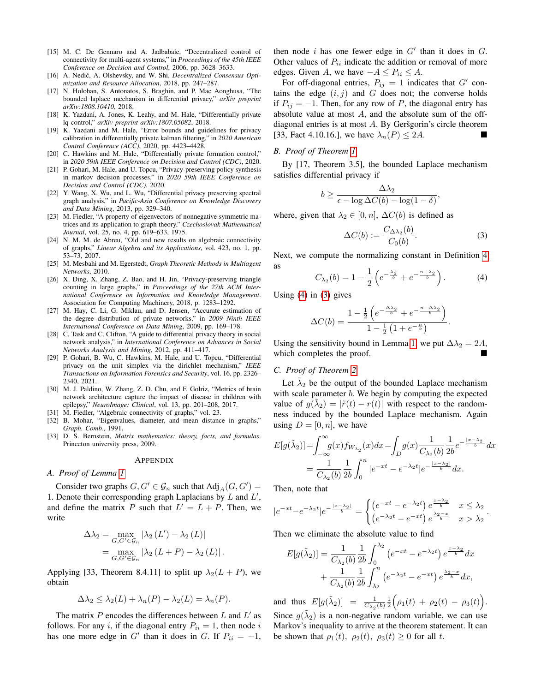- [15] M. C. De Gennaro and A. Jadbabaie, "Decentralized control of connectivity for multi-agent systems," in *Proceedings of the 45th IEEE Conference on Decision and Control*, 2006, pp. 3628–3633.
- [16] A. Nedić, A. Olshevsky, and W. Shi, *Decentralized Consensus Optimization and Resource Allocation*, 2018, pp. 247–287.
- [17] N. Holohan, S. Antonatos, S. Braghin, and P. Mac Aonghusa, "The bounded laplace mechanism in differential privacy," *arXiv preprint arXiv:1808.10410*, 2018.
- [18] K. Yazdani, A. Jones, K. Leahy, and M. Hale, "Differentially private lq control," *arXiv preprint arXiv:1807.05082*, 2018.
- [19] K. Yazdani and M. Hale, "Error bounds and guidelines for privacy calibration in differentially private kalman filtering," in *2020 American Control Conference (ACC)*, 2020, pp. 4423–4428.
- [20] C. Hawkins and M. Hale, "Differentially private formation control," in *2020 59th IEEE Conference on Decision and Control (CDC)*, 2020.
- [21] P. Gohari, M. Hale, and U. Topcu, "Privacy-preserving policy synthesis in markov decision processes," in *2020 59th IEEE Conference on Decision and Control (CDC)*, 2020.
- [22] Y. Wang, X. Wu, and L. Wu, "Differential privacy preserving spectral graph analysis," in *Pacific-Asia Conference on Knowledge Discovery and Data Mining*, 2013, pp. 329–340.
- [23] M. Fiedler, "A property of eigenvectors of nonnegative symmetric matrices and its application to graph theory," *Czechoslovak Mathematical Journal*, vol. 25, no. 4, pp. 619–633, 1975.
- [24] N. M. M. de Abreu, "Old and new results on algebraic connectivity of graphs," *Linear Algebra and its Applications*, vol. 423, no. 1, pp. 53–73, 2007.
- [25] M. Mesbahi and M. Egerstedt, *Graph Theoretic Methods in Multiagent Networks*, 2010.
- [26] X. Ding, X. Zhang, Z. Bao, and H. Jin, "Privacy-preserving triangle counting in large graphs," in *Proceedings of the 27th ACM International Conference on Information and Knowledge Management*. Association for Computing Machinery, 2018, p. 1283–1292.
- [27] M. Hay, C. Li, G. Miklau, and D. Jensen, "Accurate estimation of the degree distribution of private networks," in *2009 Ninth IEEE International Conference on Data Mining*, 2009, pp. 169–178.
- [28] C. Task and C. Clifton, "A guide to differential privacy theory in social network analysis," in *International Conference on Advances in Social Networks Analysis and Mining*, 2012, pp. 411–417.
- [29] P. Gohari, B. Wu, C. Hawkins, M. Hale, and U. Topcu, "Differential privacy on the unit simplex via the dirichlet mechanism," *IEEE Transactions on Information Forensics and Security*, vol. 16, pp. 2326– 2340, 2021.
- [30] M. J. Paldino, W. Zhang, Z. D. Chu, and F. Golriz, "Metrics of brain network architecture capture the impact of disease in children with epilepsy," *NeuroImage: Clinical*, vol. 13, pp. 201–208, 2017.
- [31] M. Fiedler, "Algebraic connectivity of graphs," vol. 23.
- [32] B. Mohar, "Eigenvalues, diameter, and mean distance in graphs," *Graph. Comb.*, 1991.
- [33] D. S. Bernstein, *Matrix mathematics: theory, facts, and formulas*. Princeton university press, 2009.

#### APPENDIX

#### <span id="page-6-0"></span>*A. Proof of Lemma [1](#page-2-2)*

Consider two graphs  $G, G' \in \mathcal{G}_n$  such that  $\text{Adj}_A(G, G') =$ 1. Denote their corresponding graph Laplacians by  $L$  and  $L'$ , and define the matrix P such that  $L' = L + P$ . Then, we write

$$
\Delta\lambda_2 = \max_{G,G'\in\mathcal{G}_n} |\lambda_2(L') - \lambda_2(L)|
$$
  
= 
$$
\max_{G,G'\in\mathcal{G}_n} |\lambda_2(L+P) - \lambda_2(L)|.
$$

Applying [33, Theorem 8.4.11] to split up  $\lambda_2(L + P)$ , we obtain

$$
\Delta \lambda_2 \leq \lambda_2(L) + \lambda_n(P) - \lambda_2(L) = \lambda_n(P).
$$

The matrix  $P$  encodes the differences between  $L$  and  $L'$  as follows. For any i, if the diagonal entry  $P_{ii} = 1$ , then node i has one more edge in G' than it does in G. If  $P_{ii} = -1$ ,

then node i has one fewer edge in  $G'$  than it does in  $G$ . Other values of  $P_{ii}$  indicate the addition or removal of more edges. Given A, we have  $-A \le P_{ii} \le A$ .

For off-diagonal entries,  $P_{ij} = 1$  indicates that  $G'$  contains the edge  $(i, j)$  and  $G$  does not; the converse holds if  $P_{ij} = -1$ . Then, for any row of P, the diagonal entry has absolute value at most A, and the absolute sum of the offdiagonal entries is at most  $A$ . By Geršgorin's circle theorem [33, Fact 4.10.16.], we have  $\lambda_n(P) \leq 2A$ .

# <span id="page-6-1"></span>*B. Proof of Theorem [1](#page-3-4)*

By [17, Theorem 3.5], the bounded Laplace mechanism satisfies differential privacy if

$$
b \ge \frac{\Delta\lambda_2}{\epsilon - \log \Delta C(b) - \log(1 - \delta)},
$$

where, given that  $\lambda_2 \in [0, n]$ ,  $\Delta C(b)$  is defined as

<span id="page-6-4"></span><span id="page-6-3"></span>
$$
\Delta C(b) := \frac{C_{\Delta \lambda_2}(b)}{C_0(b)}.\tag{3}
$$

Next, we compute the normalizing constant in Definition [4](#page-3-0) as

$$
C_{\lambda_2}(b) = 1 - \frac{1}{2} \left( e^{-\frac{\lambda_2}{b}} + e^{-\frac{n-\lambda_2}{b}} \right).
$$
 (4)

Using  $(4)$  in  $(3)$  gives

$$
\Delta C(b) = \frac{1 - \frac{1}{2} \left( e^{-\frac{\Delta \lambda_2}{b}} + e^{-\frac{n - \Delta \lambda_2}{b}} \right)}{1 - \frac{1}{2} \left( 1 + e^{-\frac{n}{b}} \right)}.
$$

Using the sensitivity bound in Lemma [1,](#page-2-2) we put  $\Delta \lambda_2 = 2A$ , which completes the proof.

# <span id="page-6-2"></span>*C. Proof of Theorem [2](#page-3-2)*

Let  $\tilde{\lambda}_2$  be the output of the bounded Laplace mechanism with scale parameter  $b$ . We begin by computing the expected value of  $g(\tilde{\lambda}_2) = |\tilde{r}(t) - r(t)|$  with respect to the randomness induced by the bounded Laplace mechanism. Again using  $D = [0, n]$ , we have

$$
E[g(\tilde{\lambda}_2)] = \int_{-\infty}^{\infty} g(x) f_{W_{\lambda_2}}(x) dx = \int_{D} g(x) \frac{1}{C_{\lambda_2}(b)} \frac{1}{2b} e^{-\frac{|x-\lambda_2|}{b}} dx
$$
  
= 
$$
\frac{1}{C_{\lambda_2}(b)} \frac{1}{2b} \int_{0}^{n} |e^{-xt} - e^{-\lambda_2 t}| e^{-\frac{|x-\lambda_2|}{b}} dx.
$$

Then, note that

$$
|e^{-xt} - e^{-\lambda_2 t}|e^{-\frac{|x-\lambda_2|}{b}} = \begin{cases} \left(e^{-xt} - e^{-\lambda_2 t}\right)e^{\frac{x-\lambda_2}{b}} & x \le \lambda_2\\ \left(e^{-\lambda_2 t} - e^{-xt}\right)e^{\frac{\lambda_2 - x}{b}} & x > \lambda_2 \end{cases}
$$

.

Then we eliminate the absolute value to find

$$
E[g(\tilde{\lambda}_2)] = \frac{1}{C_{\lambda_2}(b)} \frac{1}{2b} \int_0^{\lambda_2} (e^{-xt} - e^{-\lambda_2 t}) e^{\frac{x - \lambda_2}{b}} dx + \frac{1}{C_{\lambda_2}(b)} \frac{1}{2b} \int_{\lambda_2}^n (e^{-\lambda_2 t} - e^{-xt}) e^{\frac{\lambda_2 - x}{b}} dx,
$$

and thus  $E[g(\tilde{\lambda}_2)] = \frac{1}{C_{\lambda_2}(b)} \frac{1}{2} \Big(\rho_1(t) + \rho_2(t) - \rho_3(t)\Big).$ Since  $g(\tilde{\lambda}_2)$  is a non-negative random variable, we can use Markov's inequality to arrive at the theorem statement. It can

be shown that  $\rho_1(t)$ ,  $\rho_2(t)$ ,  $\rho_3(t) \geq 0$  for all t.